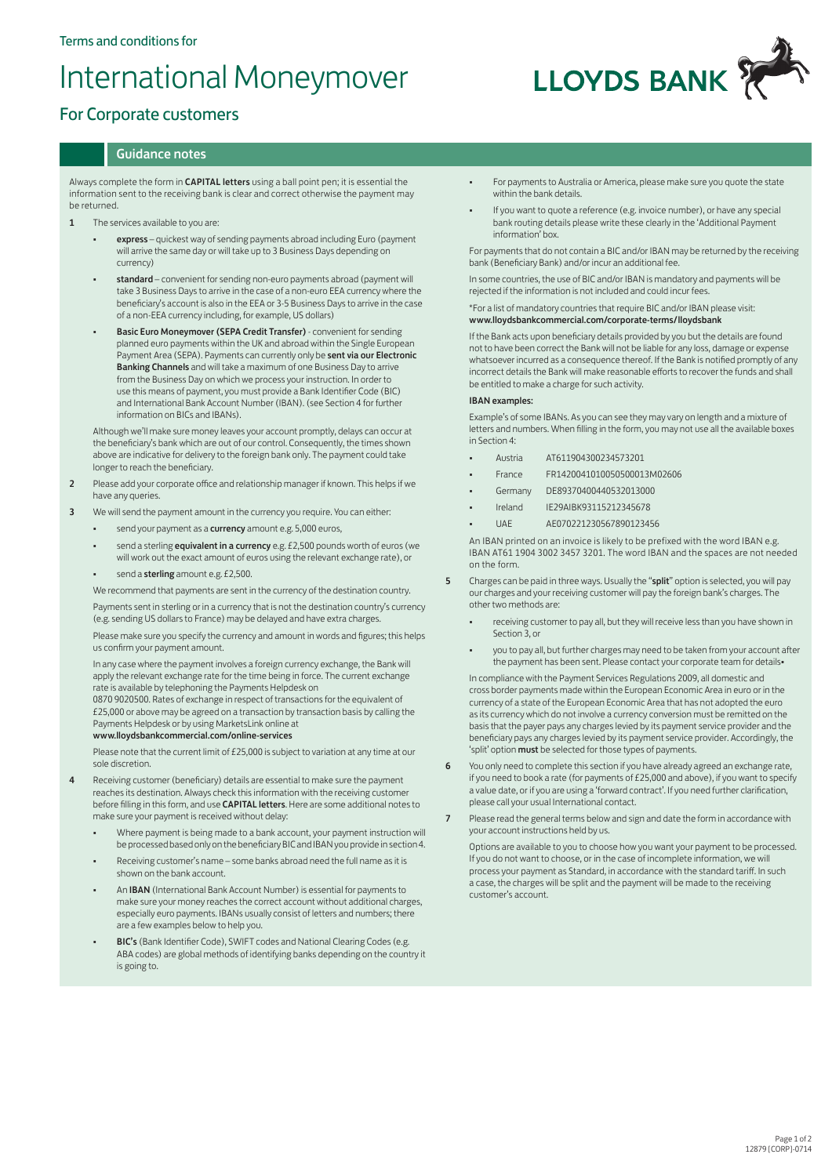# International Moneymover

# For Corporate customers

# Guidance notes

Always complete the form in CAPITAL letters using a ball point pen; it is essential the information sent to the receiving bank is clear and correct otherwise the payment may be returned.

- 1 The services available to you are:
	- express quickest way of sending payments abroad including Euro (payment will arrive the same day or will take up to 3 Business Days depending on currency)
	- standard convenient for sending non-euro payments abroad (payment will take 3 Business Days to arrive in the case of a non-euro EEA currency where the beneficiary's account is also in the EEA or 3-5 Business Days to arrive in the case of a non-EEA currency including, for example, US dollars)
	- Basic Euro Moneymover (SEPA Credit Transfer) convenient for sending planned euro payments within the UK and abroad within the Single European Payment Area (SEPA). Payments can currently only be sent via our Electronic Banking Channels and will take a maximum of one Business Day to arrive from the Business Day on which we process your instruction. In order to use this means of payment, you must provide a Bank Identifier Code (BIC) and International Bank Account Number (IBAN). (see Section 4 for further information on BICs and IBANs).

Although we'll make sure money leaves your account promptly, delays can occur at the beneficiary's bank which are out of our control. Consequently, the times shown above are indicative for delivery to the foreign bank only. The payment could take longer to reach the beneficiary.

- 2 Please add your corporate office and relationship manager if known. This helps if we have any queries.
- 3 We will send the payment amount in the currency you require. You can either:
	- send your payment as a currency amount e.g. 5,000 euros,
	- send a sterling **equivalent in a currency** e.g. £2,500 pounds worth of euros (we will work out the exact amount of euros using the relevant exchange rate), or
	- send a sterling amount e.g. £2,500.

We recommend that payments are sent in the currency of the destination country.

Payments sent in sterling or in a currency that is not the destination country's currency (e.g. sending US dollars to France) may be delayed and have extra charges.

Please make sure you specify the currency and amount in words and figures; this helps us confirm your payment amount.

In any case where the payment involves a foreign currency exchange, the Bank will apply the relevant exchange rate for the time being in force. The current exchange rate is available by telephoning the Payments Helpdesk on

0870 9020500. Rates of exchange in respect of transactions for the equivalent of £25,000 or above may be agreed on a transaction by transaction basis by calling the Payments Helpdesk or by using MarketsLink online at

## www.lloydsbankcommercial.com/online-services

Please note that the current limit of £25,000 is subject to variation at any time at our sole discretion.

- 4 Receiving customer (beneficiary) details are essential to make sure the payment reaches its destination. Always check this information with the receiving customer before filling in this form, and use CAPITAL letters. Here are some additional notes to make sure your payment is received without delay:
	- Where payment is being made to a bank account, your payment instruction will be processed based only on the beneficiary BIC and IBAN you provide in section 4.
	- Receiving customer's name some banks abroad need the full name as it is shown on the bank account.
	- An IBAN (International Bank Account Number) is essential for payments to make sure your money reaches the correct account without additional charges, especially euro payments. IBANs usually consist of letters and numbers; there are a few examples below to help you.
	- **BIC's** (Bank Identifier Code), SWIFT codes and National Clearing Codes (e.g. ABA codes) are global methods of identifying banks depending on the country it is going to.
- For payments to Australia or America, please make sure you quote the state within the bank details.
- If you want to quote a reference (e.g. invoice number), or have any special bank routing details please write these clearly in the 'Additional Payment information' box.

For payments that do not contain a BIC and/or IBAN may be returned by the receiving bank (Beneficiary Bank) and/or incur an additional fee.

In some countries, the use of BIC and/or IBAN is mandatory and payments will be rejected if the information is not included and could incur fees.

#### \*For a list of mandatory countries that require BIC and/or IBAN please visit: www.lloydsbankcommercial.com/corporate-terms/lloydsbank

If the Bank acts upon beneficiary details provided by you but the details are found not to have been correct the Bank will not be liable for any loss, damage or expense whatsoever incurred as a consequence thereof. If the Bank is notified promptly of any incorrect details the Bank will make reasonable efforts to recover the funds and shall be entitled to make a charge for such activity.

#### IBAN examples:

Example's of some IBANs. As you can see they may vary on length and a mixture of letters and numbers. When filling in the form, you may not use all the available boxes in Section 4:

- Austria AT611904300234573201
- • France FR1420041010050500013M02606
- Germany DE89370400440532013000
- • Ireland IE29AIBK93115212345678
- UAE AE070221230567890123456

An IBAN printed on an invoice is likely to be prefixed with the word IBAN e.g. IBAN AT61 1904 3002 3457 3201. The word IBAN and the spaces are not needed on the form.

- 5 Charges can be paid in three ways. Usually the "split" option is selected, you will pay our charges and your receiving customer will pay the foreign bank's charges. The other two methods are:
	- receiving customer to pay all, but they will receive less than you have shown in Section 3, or
	- you to pay all, but further charges may need to be taken from your account after the payment has been sent. Please contact your corporate team for details-

In compliance with the Payment Services Regulations 2009, all domestic and cross border payments made within the European Economic Area in euro or in the currency of a state of the European Economic Area that has not adopted the euro as its currency which do not involve a currency conversion must be remitted on the basis that the payer pays any charges levied by its payment service provider and the beneficiary pays any charges levied by its payment service provider. Accordingly, the 'split' option must be selected for those types of payments.

- 6 You only need to complete this section if you have already agreed an exchange rate, if you need to book a rate (for payments of £25,000 and above), if you want to specify a value date, or if you are using a 'forward contract'. If you need further clarification, please call your usual International contact.
- 7 Please read the general terms below and sign and date the form in accordance with your account instructions held by us.

Options are available to you to choose how you want your payment to be processed. If you do not want to choose, or in the case of incomplete information, we will process your payment as Standard, in accordance with the standard tariff. In such a case, the charges will be split and the payment will be made to the receiving customer's account.